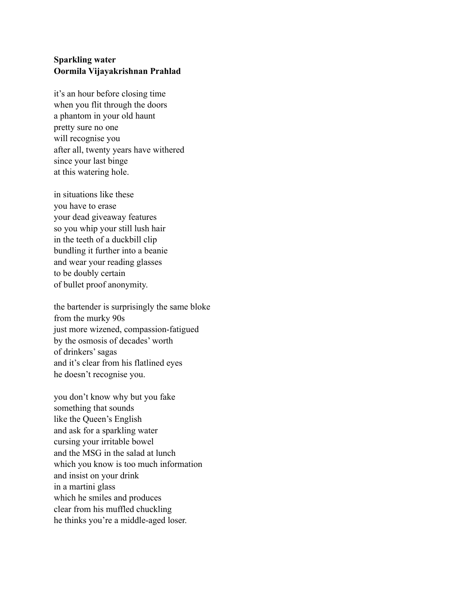## **Sparkling water Oormila Vijayakrishnan Prahlad**

it's an hour before closing time when you flit through the doors a phantom in your old haunt pretty sure no one will recognise you after all, twenty years have withered since your last binge at this watering hole.

in situations like these you have to erase your dead giveaway features so you whip your still lush hair in the teeth of a duckbill clip bundling it further into a beanie and wear your reading glasses to be doubly certain of bullet proof anonymity.

the bartender is surprisingly the same bloke from the murky 90s just more wizened, compassion-fatigued by the osmosis of decades' worth of drinkers' sagas and it's clear from his flatlined eyes he doesn't recognise you.

you don't know why but you fake something that sounds like the Queen's English and ask for a sparkling water cursing your irritable bowel and the MSG in the salad at lunch which you know is too much information and insist on your drink in a martini glass which he smiles and produces clear from his muffled chuckling he thinks you're a middle-aged loser.